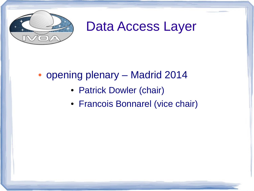

# Data Access Layer

#### • opening plenary – Madrid 2014

- Patrick Dowler (chair)
- Francois Bonnarel (vice chair)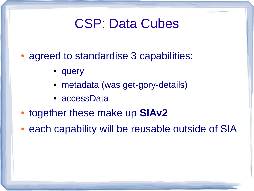- agreed to standardise 3 capabilities:
	- query
	- metadata (was get-gory-details)
	- accessData
- together these make up **SIAv2**
- each capability will be reusable outside of SIA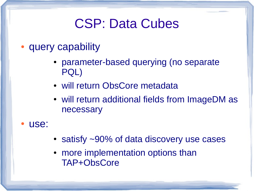- query capability
	- parameter-based querying (no separate PQL)
	- will return ObsCore metadata
	- will return additional fields from ImageDM as necessary
- use:
- satisfy  $\sim$ 90% of data discovery use cases
- more implementation options than TAP+ObsCore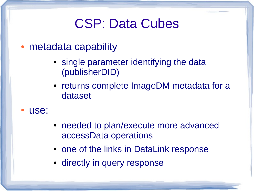- metadata capability
	- single parameter identifying the data (publisherDID)
	- returns complete ImageDM metadata for a dataset
- use:
- needed to plan/execute more advanced accessData operations
- one of the links in DataLink response
- directly in query response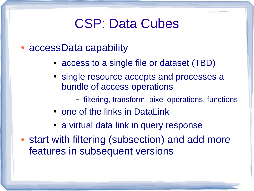- accessData capability
	- access to a single file or dataset (TBD)
	- single resource accepts and processes a bundle of access operations
		- filtering, transform, pixel operations, functions
	- one of the links in DataLink
	- a virtual data link in query response
- start with filtering (subsection) and add more features in subsequent versions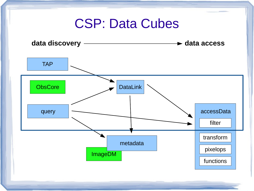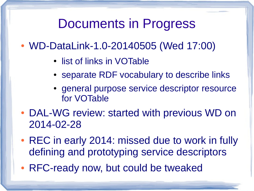#### Documents in Progress

- WD-DataLink-1.0-20140505 (Wed 17:00)
	- list of links in VOTable
	- separate RDF vocabulary to describe links
	- general purpose service descriptor resource for VOTable
- DAL-WG review: started with previous WD on 2014-02-28
- REC in early 2014: missed due to work in fully defining and prototyping service descriptors
- RFC-ready now, but could be tweaked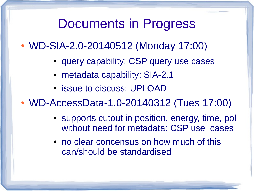#### Documents in Progress

- WD-SIA-2.0-20140512 (Monday 17:00)
	- query capability: CSP query use cases
	- metadata capability: SIA-2.1
	- issue to discuss: UPLOAD
- WD-AccessData-1.0-20140312 (Tues 17:00)
	- supports cutout in position, energy, time, pol without need for metadata: CSP use cases
	- no clear concensus on how much of this can/should be standardised